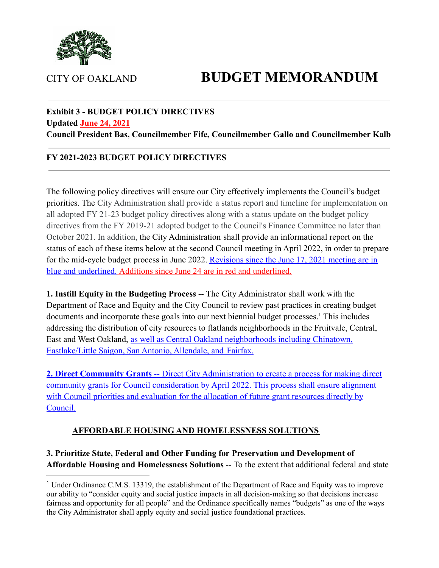

# CITY OF OAKLAND **BUDGET MEMORANDUM**

# **Exhibit 3 - BUDGET POLICY DIRECTIVES**

#### **Updated June 24, 2021**

**Council President Bas, Councilmember Fife, Councilmember Gallo and Councilmember Kalb**

#### **FY 2021-2023 BUDGET POLICY DIRECTIVES**

The following policy directives will ensure our City effectively implements the Council's budget priorities. The City Administration shall provide a status report and timeline for implementation on all adopted FY 21-23 budget policy directives along with a status update on the budget policy directives from the FY 2019-21 adopted budget to the Council's Finance Committee no later than October 2021. In addition, the City Administration shall provide an informational report on the status of each of these items below at the second Council meeting in April 2022, in order to prepare for the mid-cycle budget process in June 2022. Revisions since the June 17, 2021 meeting are in blue and underlined. Additions since June 24 are in red and underlined.

**1. Instill Equity in the Budgeting Process** -- The City Administrator shall work with the Department of Race and Equity and the City Council to review past practices in creating budget documents and incorporate these goals into our next biennial budget processes.<sup>1</sup> This includes addressing the distribution of city resources to flatlands neighborhoods in the Fruitvale, Central, East and West Oakland, as well as Central Oakland neighborhoods including Chinatown, Eastlake/Little Saigon, San Antonio, Allendale, and Fairfax.

**2. Direct Community Grants** -- Direct City Administration to create a process for making direct community grants for Council consideration by April 2022. This process shall ensure alignment with Council priorities and evaluation for the allocation of future grant resources directly by Council.

#### **AFFORDABLE HOUSING AND HOMELESSNESS SOLUTIONS**

#### **3. Prioritize State, Federal and Other Funding for Preservation and Development of Affordable Housing and Homelessness Solutions** -- To the extent that additional federal and state

<sup>1</sup> Under Ordinance C.M.S. 13319, the establishment of the Department of Race and Equity was to improve our ability to "consider equity and social justice impacts in all decision-making so that decisions increase fairness and opportunity for all people" and the Ordinance specifically names "budgets" as one of the ways the City Administrator shall apply equity and social justice foundational practices.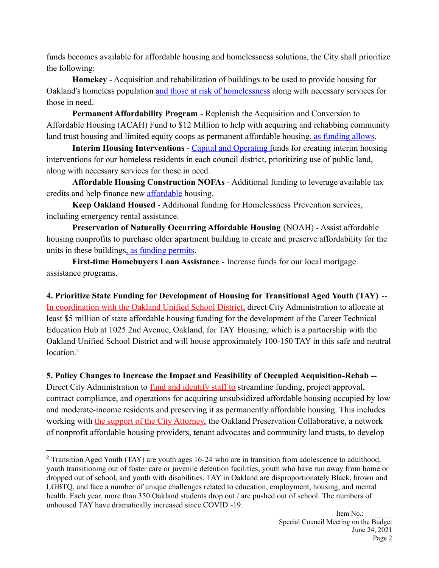funds becomes available for affordable housing and homelessness solutions, the City shall prioritize the following:

**Homekey** - Acquisition and rehabilitation of buildings to be used to provide housing for Oakland's homeless population and those at risk of homelessness along with necessary services for those in need.

**Permanent Affordability Program** - Replenish the Acquisition and Conversion to Affordable Housing (ACAH) Fund to \$12 Million to help with acquiring and rehabbing community land trust housing and limited equity coops as permanent affordable housing, as funding allows.

**Interim Housing Interventions** - Capital and Operating funds for creating interim housing interventions for our homeless residents in each council district, prioritizing use of public land, along with necessary services for those in need.

**Affordable Housing Construction NOFAs** - Additional funding to leverage available tax credits and help finance new affordable housing.

**Keep Oakland Housed** - Additional funding for Homelessness Prevention services, including emergency rental assistance.

**Preservation of Naturally Occurring Affordable Housing** (NOAH) - Assist affordable housing nonprofits to purchase older apartment building to create and preserve affordability for the units in these buildings, as funding permits.

**First-time Homebuyers Loan Assistance** - Increase funds for our local mortgage assistance programs.

**4. Prioritize State Funding for Development of Housing for Transitional Aged Youth (TAY)** -- In coordination with the Oakland Unified School District, direct City Administration to allocate at least \$5 million of state affordable housing funding for the development of the Career Technical Education Hub at 1025 2nd Avenue, Oakland, for TAY Housing, which is a partnership with the Oakland Unified School District and will house approximately 100-150 TAY in this safe and neutral location.<sup>2</sup>

**5. Policy Changes to Increase the Impact and Feasibility of Occupied Acquisition-Rehab --**

Direct City Administration to fund and identify staff to streamline funding, project approval, contract compliance, and operations for acquiring unsubsidized affordable housing occupied by low and moderate-income residents and preserving it as permanently affordable housing. This includes working with the support of the City Attorney, the Oakland Preservation Collaborative, a network of nonprofit affordable housing providers, tenant advocates and community land trusts, to develop

<sup>&</sup>lt;sup>2</sup> Transition Aged Youth (TAY) are youth ages 16-24 who are in transition from adolescence to adulthood, youth transitioning out of foster care or juvenile detention facilities, youth who have run away from home or dropped out of school, and youth with disabilities. TAY in Oakland are disproportionately Black, brown and LGBTQ, and face a number of unique challenges related to education, employment, housing, and mental health. Each year, more than 350 Oakland students drop out / are pushed out of school. The numbers of unhoused TAY have dramatically increased since COVID -19.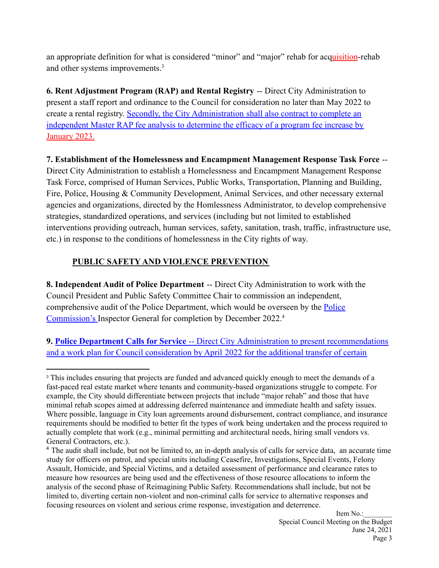an appropriate definition for what is considered "minor" and "major" rehab for acquisition-rehab and other systems improvements.<sup>3</sup>

**6. Rent Adjustment Program (RAP) and Rental Registry** -- Direct City Administration to present a staff report and ordinance to the Council for consideration no later than May 2022 to create a rental registry. Secondly, the City Administration shall also contract to complete an independent Master RAP fee analysis to determine the efficacy of a program fee increase by January 2023.

#### **7. Establishment of the Homelessness and Encampment Management Response Task Force** --

Direct City Administration to establish a Homelessness and Encampment Management Response Task Force, comprised of Human Services, Public Works, Transportation, Planning and Building, Fire, Police, Housing & Community Development, Animal Services, and other necessary external agencies and organizations, directed by the Homlessness Administrator, to develop comprehensive strategies, standardized operations, and services (including but not limited to established interventions providing outreach, human services, safety, sanitation, trash, traffic, infrastructure use, etc.) in response to the conditions of homelessness in the City rights of way.

#### **PUBLIC SAFETY AND VIOLENCE PREVENTION**

**8. Independent Audit of Police Department** -- Direct City Administration to work with the Council President and Public Safety Committee Chair to commission an independent, comprehensive audit of the Police Department, which would be overseen by the Police Commission's Inspector General for completion by December 2022.<sup>4</sup>

**9. Police Department Calls for Service** -- Direct City Administration to present recommendations and a work plan for Council consideration by April 2022 for the additional transfer of certain

<sup>&</sup>lt;sup>3</sup> This includes ensuring that projects are funded and advanced quickly enough to meet the demands of a fast-paced real estate market where tenants and community-based organizations struggle to compete. For example, the City should differentiate between projects that include "major rehab" and those that have minimal rehab scopes aimed at addressing deferred maintenance and immediate health and safety issues. Where possible, language in City loan agreements around disbursement, contract compliance, and insurance requirements should be modified to better fit the types of work being undertaken and the process required to actually complete that work (e.g., minimal permitting and architectural needs, hiring small vendors vs. General Contractors, etc.).

<sup>&</sup>lt;sup>4</sup> The audit shall include, but not be limited to, an in-depth analysis of calls for service data, an accurate time study for officers on patrol, and special units including Ceasefire, Investigations, Special Events, Felony Assault, Homicide, and Special Victims, and a detailed assessment of performance and clearance rates to measure how resources are being used and the effectiveness of those resource allocations to inform the analysis of the second phase of Reimagining Public Safety. Recommendations shall include, but not be limited to, diverting certain non-violent and non-criminal calls for service to alternative responses and focusing resources on violent and serious crime response, investigation and deterrence.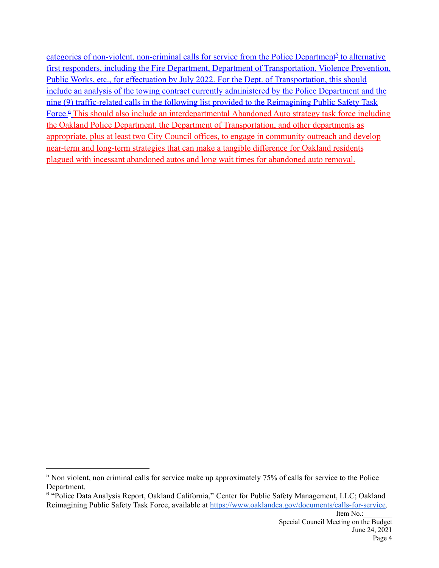categories of non-violent, non-criminal calls for service from the Police Department<sup>5</sup> to alternative first responders, including the Fire Department, Department of Transportation, Violence Prevention, Public Works, etc., for effectuation by July 2022. For the Dept. of Transportation, this should include an analysis of the towing contract currently administered by the Police Department and the nine (9) traffic-related calls in the following list provided to the Reimagining Public Safety Task Force.<sup>6</sup> This should also include an interdepartmental Abandoned Auto strategy task force including the Oakland Police Department, the Department of Transportation, and other departments as appropriate, plus at least two City Council offices, to engage in community outreach and develop near-term and long-term strategies that can make a tangible difference for Oakland residents plagued with incessant abandoned autos and long wait times for abandoned auto removal.

<sup>&</sup>lt;sup>5</sup> Non violent, non criminal calls for service make up approximately 75% of calls for service to the Police Department.

<sup>6</sup> "Police Data Analysis Report, Oakland California," Center for Public Safety Management, LLC; Oakland Reimagining Public Safety Task Force, available at <https://www.oaklandca.gov/documents/calls-for-service>.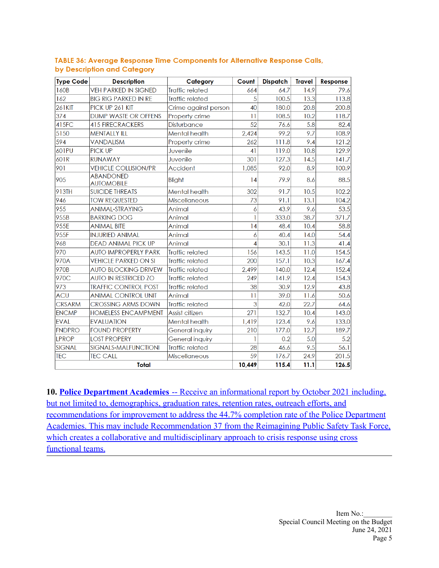| <b>Type Code</b> | <b>Description</b>                    | Category               | Count           | <b>Dispatch</b> | <b>Travel</b> | Response |
|------------------|---------------------------------------|------------------------|-----------------|-----------------|---------------|----------|
| 160B             | <b>VEH PARKED IN SIGNED</b>           | <b>Traffic related</b> | 664             | 64.7            | 14.9          | 79.6     |
| 162              | <b>BIG RIG PARKED IN RE</b>           | <b>Traffic related</b> | 5               | 100.5           | 13.3          | 113.8    |
| <b>261KIT</b>    | PICK UP 261 KIT                       | Crime against person   | 40              | 180.0           | 20.8          | 200.8    |
| 374              | <b>DUMP WASTE OR OFFENS</b>           | Property crime         | $\overline{11}$ | 108.5           | 10.2          | 118.7    |
| 415FC            | <b>415 FIRECRACKERS</b>               | <b>Disturbance</b>     | 52              | 76.6            | 5.8           | 82.4     |
| 5150             | <b>MENTALLY ILL</b>                   | Mental health          | 2,424           | 99.2            | 9.7           | 108.9    |
| 594              | <b>VANDALISM</b>                      | Property crime         | 262             | 111.8           | 9.4           | 121.2    |
| 601PU            | <b>PICK UP</b>                        | Juvenile               | 41              | 119.0           | 10.8          | 129.9    |
| 601R             | <b>RUNAWAY</b>                        | Juvenile               | 301             | 127.3           | 14.5          | 141.7    |
| 901              | <b>VEHICLE COLLISION/PR</b>           | Accident               | 1,085           | 92.0            | 8.9           | 100.9    |
| 905              | <b>ABANDONED</b><br><b>AUTOMOBILE</b> | Blight                 | 4               | 79.9            | 8.6           | 88.5     |
| 913TH            | <b>SUICIDE THREATS</b>                | Mental health          | 302             | 91.7            | 10.5          | 102.2    |
| 946              | <b>TOW REQUESTED</b>                  | <b>Miscellaneous</b>   | 73              | 91.1            | 13.1          | 104.2    |
| 955              | <b>ANIMAL-STRAYING</b>                | Animal                 | 6               | 43.9            | 9.6           | 53.5     |
| 955B             | <b>BARKING DOG</b>                    | Animal                 | 1               | 333.0           | 38.7          | 371.7    |
| 955E             | <b>ANIMAL BITE</b>                    | Animal                 | 14              | 48.4            | 10.4          | 58.8     |
| 955F             | <b>INJURIED ANIMAL</b>                | Animal                 | 6               | 40.4            | 14.0          | 54.4     |
| 968              | <b>DEAD ANIMAL PICK UP</b>            | Animal                 | $\overline{A}$  | 30.1            | 11.3          | 41.4     |
| 970              | <b>AUTO IMPROPERLY PARK</b>           | <b>Traffic related</b> | 156             | 143.5           | 11.0          | 154.5    |
| 970A             | <b>VEHICLE PARKED ON SI</b>           | <b>Traffic related</b> | 200             | 157.1           | 10.3          | 167.4    |
| 970B             | <b>AUTO BLOCKING DRIVEW</b>           | <b>Traffic related</b> | 2,499           | 140.0           | 12.4          | 152.4    |
| 970C             | <b>AUTO IN RESTRICED ZO</b>           | <b>Traffic related</b> | 249             | 141.9           | 12.4          | 154.3    |
| 973              | <b>TRAFFIC CONTROL POST</b>           | <b>Traffic related</b> | 38              | 30.9            | 12.9          | 43.8     |
| <b>ACU</b>       | <b>ANIMAL CONTROL UNIT</b>            | Animal                 | $\overline{11}$ | 39.0            | 11.6          | 50.6     |
| <b>CRSARM</b>    | <b>CROSSING ARMS DOWN</b>             | <b>Traffic related</b> | 3               | 42.0            | 22.7          | 64.6     |
| <b>ENCMP</b>     | <b>HOMELESS ENCAMPMENT</b>            | Assist citizen         | 271             | 132.7           | 10.4          | 143.0    |
| <b>EVAL</b>      | <b>EVALUATION</b>                     | Mental health          | 1,419           | 123.4           | 9.6           | 133.0    |
| <b>FNDPRO</b>    | <b>FOUND PROPERTY</b>                 | General inquiry        | 210             | 177.0           | 12.7          | 189.7    |
| <b>LPROP</b>     | <b>LOST PROPERY</b>                   | General inquiry        |                 | 0.2             | 5.0           | 5.2      |
| <b>SIGNAL</b>    | SIGNALS-MALFUNCTIONI                  | <b>Traffic related</b> | 28              | 46.6            | 9.5           | 56.1     |
| <b>TEC</b>       | <b>TEC CALL</b>                       | <b>Miscellaneous</b>   | 59              | 176.7           | 24.9          | 201.5    |
|                  | <b>Total</b>                          |                        | 10,449          | 115.4           | 11.1          | 126.5    |

#### TABLE 36: Average Response Time Components for Alternative Response Calls, by Description and Category

**10. Police Department Academies** -- Receive an informational report by October 2021 including, but not limited to, demographics, graduation rates, retention rates, outreach efforts, and recommendations for improvement to address the 44.7% completion rate of the Police Department Academies. This may include Recommendation 37 from the Reimagining Public Safety Task Force, which creates a collaborative and multidisciplinary approach to crisis response using cross functional teams.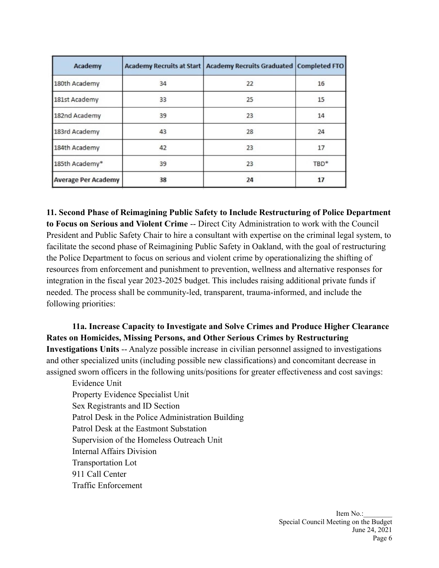| Academy                    |    | Academy Recruits at Start   Academy Recruits Graduated   Completed FTO |      |
|----------------------------|----|------------------------------------------------------------------------|------|
| 180th Academy              | 34 | 22                                                                     | 16   |
| 181st Academy              | 33 | 25                                                                     | 15   |
| 182nd Academy              | 39 | 23                                                                     | 14   |
| 183rd Academy              | 43 | 28                                                                     | 24   |
| 184th Academy              | 42 | 23                                                                     | 17   |
| 185th Academy*             | 39 | 23                                                                     | TBD* |
| <b>Average Per Academy</b> | 38 | 24                                                                     | 17   |

**11. Second Phase of Reimagining Public Safety to Include Restructuring of Police Department to Focus on Serious and Violent Crime** -- Direct City Administration to work with the Council President and Public Safety Chair to hire a consultant with expertise on the criminal legal system, to facilitate the second phase of Reimagining Public Safety in Oakland, with the goal of restructuring the Police Department to focus on serious and violent crime by operationalizing the shifting of resources from enforcement and punishment to prevention, wellness and alternative responses for integration in the fiscal year 2023-2025 budget. This includes raising additional private funds if needed. The process shall be community-led, transparent, trauma-informed, and include the following priorities:

**11a. Increase Capacity to Investigate and Solve Crimes and Produce Higher Clearance Rates on Homicides, Missing Persons, and Other Serious Crimes by Restructuring Investigations Units** -- Analyze possible increase in civilian personnel assigned to investigations and other specialized units (including possible new classifications) and concomitant decrease in assigned sworn officers in the following units/positions for greater effectiveness and cost savings:

Evidence Unit Property Evidence Specialist Unit Sex Registrants and ID Section Patrol Desk in the Police Administration Building Patrol Desk at the Eastmont Substation Supervision of the Homeless Outreach Unit Internal Affairs Division Transportation Lot 911 Call Center Traffic Enforcement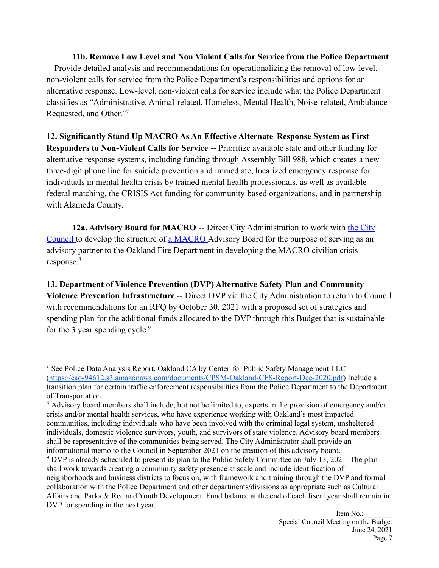**11b. Remove Low Level and Non Violent Calls for Service from the Police Department** -- Provide detailed analysis and recommendations for operationalizing the removal of low-level, non-violent calls for service from the Police Department's responsibilities and options for an alternative response. Low-level, non-violent calls for service include what the Police Department classifies as "Administrative, Animal-related, Homeless, Mental Health, Noise-related, Ambulance Requested, and Other."<sup>7</sup>

**12. Significantly Stand Up MACRO As An Effective Alternate Response System as First Responders to Non-Violent Calls for Service** -- Prioritize available state and other funding for alternative response systems, including funding through Assembly Bill 988, which creates a new three-digit phone line for suicide prevention and immediate, localized emergency response for individuals in mental health crisis by trained mental health professionals, as well as available federal matching, the CRISIS Act funding for community based organizations, and in partnership with Alameda County.

**12a. Advisory Board for MACRO** -- Direct City Administration to work with the City Council to develop the structure of a MACRO Advisory Board for the purpose of serving as an advisory partner to the Oakland Fire Department in developing the MACRO civilian crisis response.<sup>8</sup>

**13. Department of Violence Prevention (DVP) Alternative Safety Plan and Community Violence Prevention Infrastructure** -- Direct DVP via the City Administration to return to Council with recommendations for an RFQ by October 30, 2021 with a proposed set of strategies and spending plan for the additional funds allocated to the DVP through this Budget that is sustainable for the 3 year spending cycle. $9$ 

<sup>7</sup> See Police Data Analysis Report, Oakland CA by Center for Public Safety Management LLC [\(https://cao-94612.s3.amazonaws.com/documents/CPSM-Oakland-CFS-Report-Dec-2020.pdf\)](https://cao-94612.s3.amazonaws.com/documents/CPSM-Oakland-CFS-Report-Dec-2020.pdf) Include a transition plan for certain traffic enforcement responsibilities from the Police Department to the Department of Transportation.

<sup>9</sup> DVP is already scheduled to present its plan to the Public Safety Committee on July 13, 2021. The plan shall work towards creating a community safety presence at scale and include identification of neighborhoods and business districts to focus on, with framework and training through the DVP and formal <sup>8</sup> Advisory board members shall include, but not be limited to, experts in the provision of emergency and/or crisis and/or mental health services, who have experience working with Oakland's most impacted communities, including individuals who have been involved with the criminal legal system, unsheltered individuals, domestic violence survivors, youth, and survivors of state violence. Advisory board members shall be representative of the communities being served. The City Administrator shall provide an informational memo to the Council in September 2021 on the creation of this advisory board.

collaboration with the Police Department and other departments/divisions as appropriate such as Cultural Affairs and Parks & Rec and Youth Development. Fund balance at the end of each fiscal year shall remain in DVP for spending in the next year.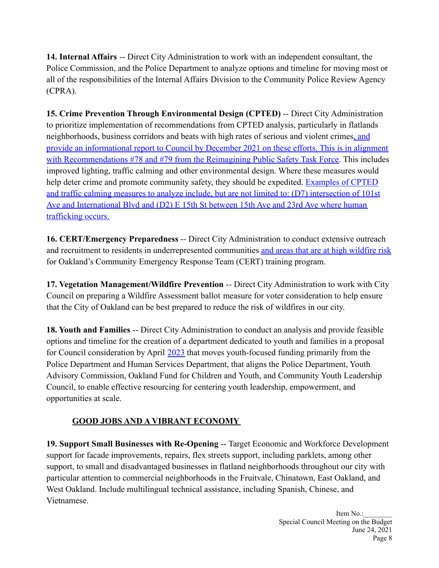**14. Internal Affairs** -- Direct City Administration to work with an independent consultant, the Police Commission, and the Police Department to analyze options and timeline for moving most or all of the responsibilities of the Internal Affairs Division to the Community Police Review Agency (CPRA).

**15. Crime Prevention Through Environmental Design (CPTED)** -- Direct City Administration to prioritize implementation of recommendations from CPTED analysis, particularly in flatlands neighborhoods, business corridors and beats with high rates of serious and violent crimes, and provide an informational report to Council by December 2021 on these efforts. This is in alignment with Recommendations #78 and #79 from the Reimagining Public Safety Task Force. This includes improved lighting, traffic calming and other environmental design. Where these measures would help deter crime and promote community safety, they should be expedited. Examples of CPTED and traffic calming measures to analyze include, but are not limited to: (D7) intersection of 101st Ave and International Blvd and (D2) E 15th St between 15th Ave and 23rd Ave where human trafficking occurs.

**16. CERT/Emergency Preparedness** -- Direct City Administration to conduct extensive outreach and recruitment to residents in underrepresented communities and areas that are at high wildfire risk for Oakland's Community Emergency Response Team (CERT) training program.

**17. Vegetation Management/Wildfire Prevention** -- Direct City Administration to work with City Council on preparing a Wildfire Assessment ballot measure for voter consideration to help ensure that the City of Oakland can be best prepared to reduce the risk of wildfires in our city.

**18. Youth and Families** -- Direct City Administration to conduct an analysis and provide feasible options and timeline for the creation of a department dedicated to youth and families in a proposal for Council consideration by April 2023 that moves youth-focused funding primarily from the Police Department and Human Services Department, that aligns the Police Department, Youth Advisory Commission, Oakland Fund for Children and Youth, and Community Youth Leadership Council, to enable effective resourcing for centering youth leadership, empowerment, and opportunities at scale.

## **GOOD JOBS AND A VIBRANT ECONOMY**

**19. Support Small Businesses with Re-Opening** -- Target Economic and Workforce Development support for facade improvements, repairs, flex streets support, including parklets, among other support, to small and disadvantaged businesses in flatland neighborhoods throughout our city with particular attention to commercial neighborhoods in the Fruitvale, Chinatown, East Oakland, and West Oakland. Include multilingual technical assistance, including Spanish, Chinese, and Vietnamese.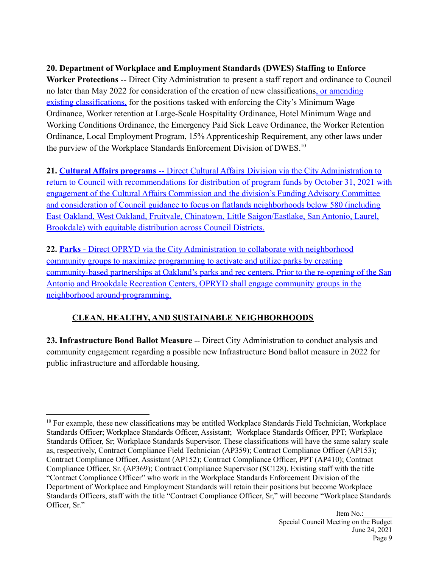## **20. Department of Workplace and Employment Standards (DWES) Staffing to Enforce**

**Worker Protections** -- Direct City Administration to present a staff report and ordinance to Council no later than May 2022 for consideration of the creation of new classifications, or amending existing classifications, for the positions tasked with enforcing the City's Minimum Wage Ordinance, Worker retention at Large-Scale Hospitality Ordinance, Hotel Minimum Wage and Working Conditions Ordinance, the Emergency Paid Sick Leave Ordinance, the Worker Retention Ordinance, Local Employment Program, 15% Apprenticeship Requirement, any other laws under the purview of the Workplace Standards Enforcement Division of DWES.<sup>10</sup>

**21. Cultural Affairs programs** -- Direct Cultural Affairs Division via the City Administration to return to Council with recommendations for distribution of program funds by October 31, 2021 with engagement of the Cultural Affairs Commission and the division's Funding Advisory Committee and consideration of Council guidance to focus on flatlands neighborhoods below 580 (including East Oakland, West Oakland, Fruitvale, Chinatown, Little Saigon/Eastlake, San Antonio, Laurel, Brookdale) with equitable distribution across Council Districts.

**22. Parks** - Direct OPRYD via the City Administration to collaborate with neighborhood community groups to maximize programming to activate and utilize parks by creating community-based partnerships at Oakland's parks and rec centers. Prior to the re-opening of the San Antonio and Brookdale Recreation Centers, OPRYD shall engage community groups in the neighborhood around programming.

## **CLEAN, HEALTHY, AND SUSTAINABLE NEIGHBORHOODS**

**23. Infrastructure Bond Ballot Measure** -- Direct City Administration to conduct analysis and community engagement regarding a possible new Infrastructure Bond ballot measure in 2022 for public infrastructure and affordable housing.

<sup>&</sup>lt;sup>10</sup> For example, these new classifications may be entitled Workplace Standards Field Technician, Workplace Standards Officer; Workplace Standards Officer, Assistant; Workplace Standards Officer, PPT; Workplace Standards Officer, Sr; Workplace Standards Supervisor. These classifications will have the same salary scale as, respectively, Contract Compliance Field Technician (AP359); Contract Compliance Officer (AP153); Contract Compliance Officer, Assistant (AP152); Contract Compliance Officer, PPT (AP410); Contract Compliance Officer, Sr. (AP369); Contract Compliance Supervisor (SC128). Existing staff with the title "Contract Compliance Officer" who work in the Workplace Standards Enforcement Division of the Department of Workplace and Employment Standards will retain their positions but become Workplace Standards Officers, staff with the title "Contract Compliance Officer, Sr," will become "Workplace Standards Officer, Sr."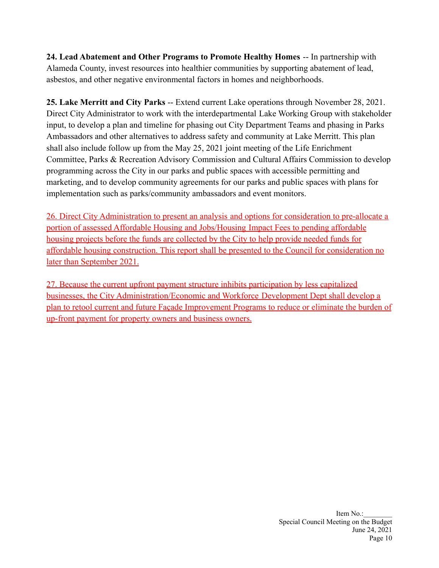**24. Lead Abatement and Other Programs to Promote Healthy Homes** -- In partnership with Alameda County, invest resources into healthier communities by supporting abatement of lead, asbestos, and other negative environmental factors in homes and neighborhoods.

**25. Lake Merritt and City Parks** -- Extend current Lake operations through November 28, 2021. Direct City Administrator to work with the interdepartmental Lake Working Group with stakeholder input, to develop a plan and timeline for phasing out City Department Teams and phasing in Parks Ambassadors and other alternatives to address safety and community at Lake Merritt. This plan shall also include follow up from the May 25, 2021 joint meeting of the Life Enrichment Committee, Parks & Recreation Advisory Commission and Cultural Affairs Commission to develop programming across the City in our parks and public spaces with accessible permitting and marketing, and to develop community agreements for our parks and public spaces with plans for implementation such as parks/community ambassadors and event monitors.

26. Direct City Administration to present an analysis and options for consideration to pre-allocate a portion of assessed Affordable Housing and Jobs/Housing Impact Fees to pending affordable housing projects before the funds are collected by the City to help provide needed funds for affordable housing construction. This report shall be presented to the Council for consideration no later than September 2021.

27. Because the current upfront payment structure inhibits participation by less capitalized businesses, the City Administration/Economic and Workforce Development Dept shall develop a plan to retool current and future Façade Improvement Programs to reduce or eliminate the burden of up-front payment for property owners and business owners.

> Item No.: Special Council Meeting on the Budget June 24, 2021 Page 10